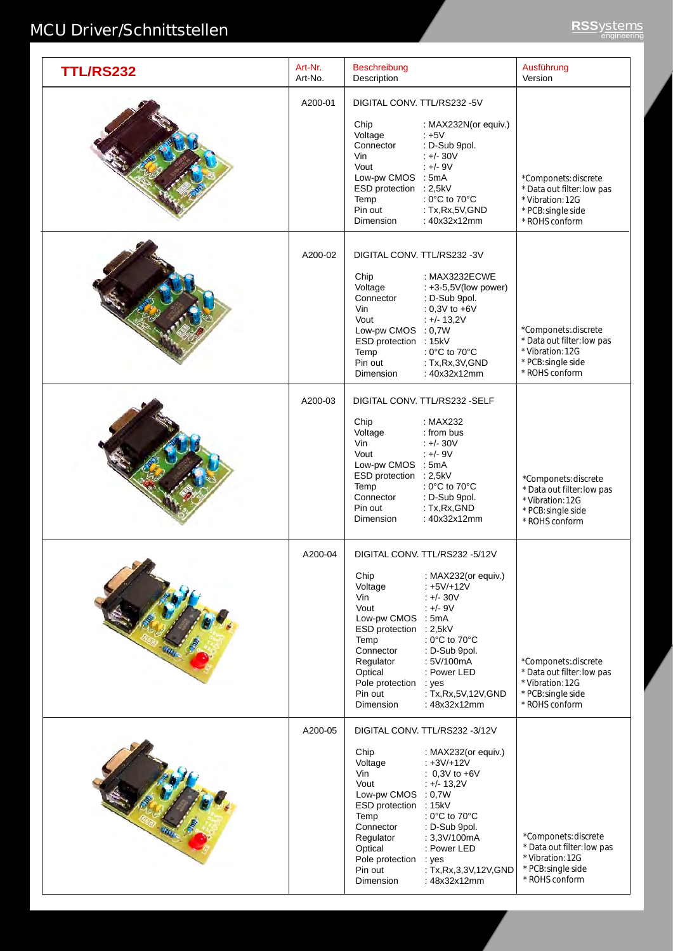## **MCU Driver/Schnittstellen RSSystems** engineering

| <b>TTL/RS232</b> | Art-Nr.<br>Art-No. | Beschreibung<br>Description                                                                                                                                                                                                                                                                                                                                                                                                     | Ausführung<br>Version                                                                                          |
|------------------|--------------------|---------------------------------------------------------------------------------------------------------------------------------------------------------------------------------------------------------------------------------------------------------------------------------------------------------------------------------------------------------------------------------------------------------------------------------|----------------------------------------------------------------------------------------------------------------|
|                  | A200-01            | DIGITAL CONV. TTL/RS232 -5V<br>Chip<br>: MAX232N(or equiv.)<br>Voltage<br>$+5V$<br>Connector<br>: D-Sub 9pol.<br>Vin<br>$+/- 30V$<br>$+/-9V$<br>Vout<br>Low-pw CMOS : 5mA<br>ESD protection : 2,5kV<br>: $0^{\circ}$ C to $70^{\circ}$ C<br>Temp<br>Pin out<br>: Tx, Rx, 5V, GND<br><b>Dimension</b><br>: 40x32x12mm                                                                                                            | *Componets: discrete<br>* Data out filter: low pas<br>* Vibration: 12G<br>* PCB: single side<br>* ROHS conform |
|                  | A200-02            | DIGITAL CONV. TTL/RS232 -3V<br>Chip<br>: MAX3232ECWE<br>Voltage<br>: +3-5,5V(low power)<br>Connector<br>: D-Sub 9pol.<br>Vin<br>: $0,3V$ to $+6V$<br>Vout<br>$: +/- 13,2V$<br>Low-pw CMOS : 0,7W<br>ESD protection : 15kV<br>Temp<br>: $0^{\circ}$ C to $70^{\circ}$ C<br>Pin out<br>: Tx, Rx, 3V, GND<br>: 40x32x12mm<br>Dimension                                                                                             | *Componets:.discrete<br>* Data out filter: low pas<br>* Vibration: 12G<br>* PCB: single side<br>* ROHS conform |
|                  | A200-03            | DIGITAL CONV. TTL/RS232 -SELF<br>Chip<br>: MAX232<br>Voltage<br>: from bus<br>Vin<br>$+/- 30V$<br>Vout<br>$+/- 9V$<br>Low-pw CMOS : 5mA<br>ESD protection : 2,5kV<br>: $0^{\circ}$ C to $70^{\circ}$ C<br>Temp<br>: D-Sub 9pol.<br>Connector<br>Pin out<br>: Tx, Rx, GND<br>: 40x32x12mm<br><b>Dimension</b>                                                                                                                    | *Componets: discrete<br>* Data out filter: low pas<br>* Vibration: 12G<br>* PCB: single side<br>* ROHS conform |
|                  | A200-04            | DIGITAL CONV. TTL/RS232 -5/12V<br>Chip<br>: MAX232(or equiv.)<br>Voltage<br>$: +5V/+12V$<br>Vin<br>$: +/- 30V$<br>Vout<br>$+/-9V$<br>Low-pw CMOS : 5mA<br>ESD protection : 2,5kV<br>: $0^{\circ}$ C to $70^{\circ}$ C<br>Temp<br>Connector<br>: D-Sub 9pol.<br>Regulator<br>: 5V/100mA<br>Optical<br>: Power LED<br>Pole protection<br>: yes<br>Pin out<br>: Tx, Rx, 5V, 12V, GND<br><b>Dimension</b><br>: 48x32x12mm           | *Componets:.discrete<br>* Data out filter: low pas<br>* Vibration: 12G<br>* PCB: single side<br>* ROHS conform |
|                  | A200-05            | DIGITAL CONV. TTL/RS232 -3/12V<br>Chip<br>: MAX232(or equiv.)<br>Voltage<br>$: +3V/+12V$<br>Vin<br>: $0,3V$ to $+6V$<br>Vout<br>$: +/- 13,2V$<br>Low-pw CMOS : 0,7W<br>ESD protection : 15kV<br>Temp<br>: $0^{\circ}$ C to $70^{\circ}$ C<br>Connector<br>: D-Sub 9pol.<br>Regulator<br>: 3,3V/100mA<br>Optical<br>: Power LED<br>Pole protection<br>: yes<br>Pin out<br>: Tx, Rx, 3, 3V, 12V, GND<br>Dimension<br>: 48x32x12mm | *Componets: discrete<br>* Data out filter: low pas<br>* Vibration: 12G<br>* PCB: single side<br>* ROHS conform |